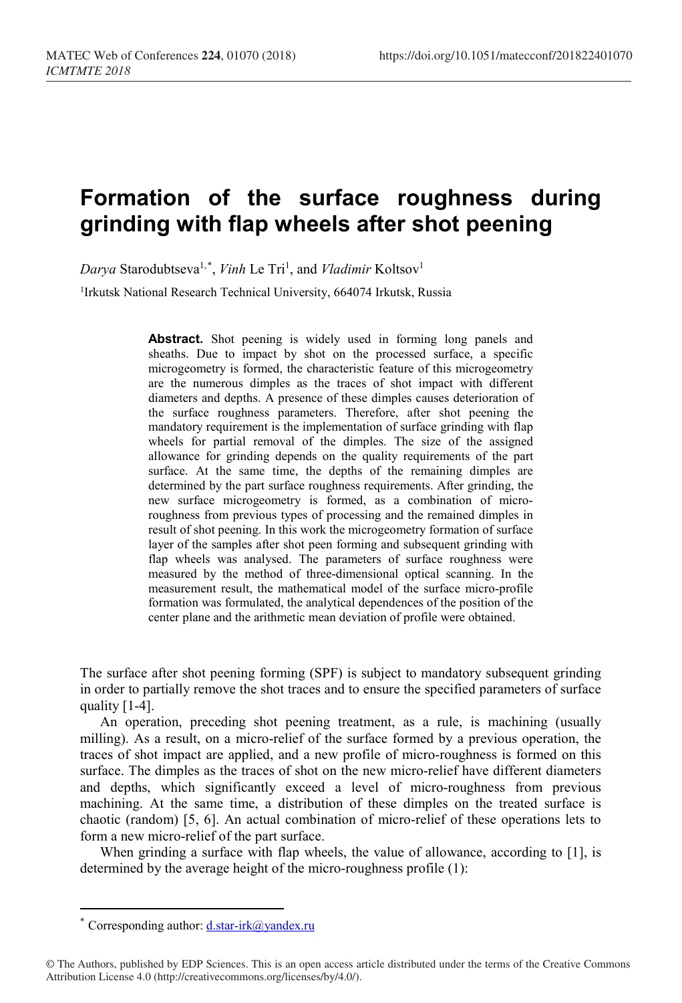## **Formation of the surface roughness during grinding with flap wheels after shot peening**

Darya Starodubtseva<sup>1,[\\*](#page-0-0)</sup>, *Vinh* Le Tri<sup>1</sup>, and *Vladimir* Koltsov<sup>1</sup>

<sup>1</sup>Irkutsk National Research Technical University, 664074 Irkutsk, Russia

**Abstract.** Shot peening is widely used in forming long panels and sheaths. Due to impact by shot on the processed surface, a specific microgeometry is formed, the characteristic feature of this microgeometry are the numerous dimples as the traces of shot impact with different diameters and depths. A presence of these dimples causes deterioration of the surface roughness parameters. Therefore, after shot peening the mandatory requirement is the implementation of surface grinding with flap wheels for partial removal of the dimples. The size of the assigned allowance for grinding depends on the quality requirements of the part surface. At the same time, the depths of the remaining dimples are determined by the part surface roughness requirements. After grinding, the new surface microgeometry is formed, as a combination of microroughness from previous types of processing and the remained dimples in result of shot peening. In this work the microgeometry formation of surface layer of the samples after shot peen forming and subsequent grinding with flap wheels was analysed. The parameters of surface roughness were measured by the method of three-dimensional optical scanning. In the measurement result, the mathematical model of the surface micro-profile formation was formulated, the analytical dependences of the position of the center plane and the arithmetic mean deviation of profile were obtained.

The surface after shot peening forming (SPF) is subject to mandatory subsequent grinding in order to partially remove the shot traces and to ensure the specified parameters of surface quality [1-4].

An operation, preceding shot peening treatment, as a rule, is machining (usually milling). As a result, on a micro-relief of the surface formed by a previous operation, the traces of shot impact are applied, and a new profile of micro-roughness is formed on this surface. The dimples as the traces of shot on the new micro-relief have different diameters and depths, which significantly exceed a level of micro-roughness from previous machining. At the same time, a distribution of these dimples on the treated surface is chaotic (random) [5, 6]. An actual combination of micro-relief of these operations lets to form a new micro-relief of the part surface.

When grinding a surface with flap wheels, the value of allowance, according to [1], is determined by the average height of the micro-roughness profile (1):

 $\overline{a}$ 

<sup>\*</sup> Corresponding author:  $d.start-irk@y$ andex.ru

<span id="page-0-0"></span><sup>©</sup> The Authors, published by EDP Sciences. This is an open access article distributed under the terms of the Creative Commons Attribution License 4.0 (http://creativecommons.org/licenses/by/4.0/).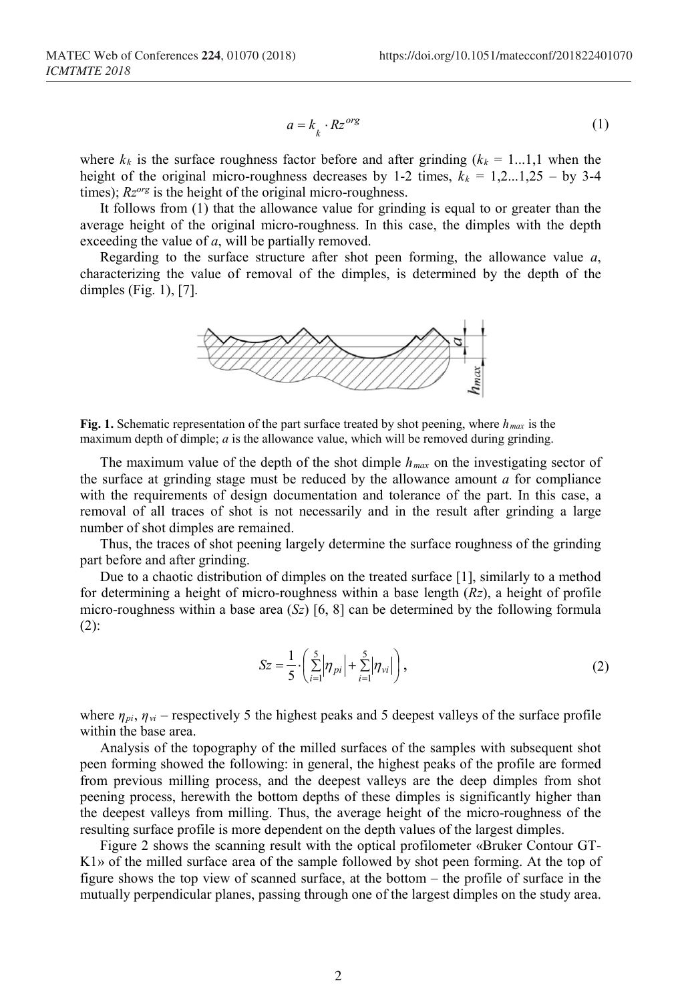$$
a = k_{k} \cdot Rz^{org} \tag{1}
$$

where  $k_k$  is the surface roughness factor before and after grinding  $(k_k = 1...1,1$  when the height of the original micro-roughness decreases by 1-2 times,  $k_k = 1, 2, ..., 1, 25 -$  by 3-4 times);  $Rz<sup>org</sup>$  is the height of the original micro-roughness.

It follows from (1) that the allowance value for grinding is equal to or greater than the average height of the original micro-roughness. In this case, the dimples with the depth exceeding the value of *a*, will be partially removed.

Regarding to the surface structure after shot peen forming, the allowance value *a*, characterizing the value of removal of the dimples, is determined by the depth of the dimples (Fig. 1), [7].



**Fig. 1.** Schematic representation of the part surface treated by shot peening, where *hmax* is the maximum depth of dimple; *a* is the allowance value, which will be removed during grinding.

The maximum value of the depth of the shot dimple  $h_{max}$  on the investigating sector of the surface at grinding stage must be reduced by the allowance amount *a* for compliance with the requirements of design documentation and tolerance of the part. In this case, a removal of all traces of shot is not necessarily and in the result after grinding a large number of shot dimples are remained.

Thus, the traces of shot peening largely determine the surface roughness of the grinding part before and after grinding.

Due to a chaotic distribution of dimples on the treated surface [1], similarly to a method for determining a height of micro-roughness within a base length (*Rz*), a height of profile micro-roughness within a base area (*Sz*) [6, 8] can be determined by the following formula (2):

$$
Sz = \frac{1}{5} \cdot \left( \sum_{i=1}^{5} |\eta_{pi}| + \sum_{i=1}^{5} |\eta_{vi}| \right),
$$
 (2)

where *ηpi*, *ηvi* – respectively 5 the highest peaks and 5 deepest valleys of the surface profile within the base area.

Analysis of the topography of the milled surfaces of the samples with subsequent shot peen forming showed the following: in general, the highest peaks of the profile are formed from previous milling process, and the deepest valleys are the deep dimples from shot peening process, herewith the bottom depths of these dimples is significantly higher than the deepest valleys from milling. Thus, the average height of the micro-roughness of the resulting surface profile is more dependent on the depth values of the largest dimples.

Figure 2 shows the scanning result with the optical profilometer «Bruker Contour GT-K1» of the milled surface area of the sample followed by shot peen forming. At the top of figure shows the top view of scanned surface, at the bottom – the profile of surface in the mutually perpendicular planes, passing through one of the largest dimples on the study area.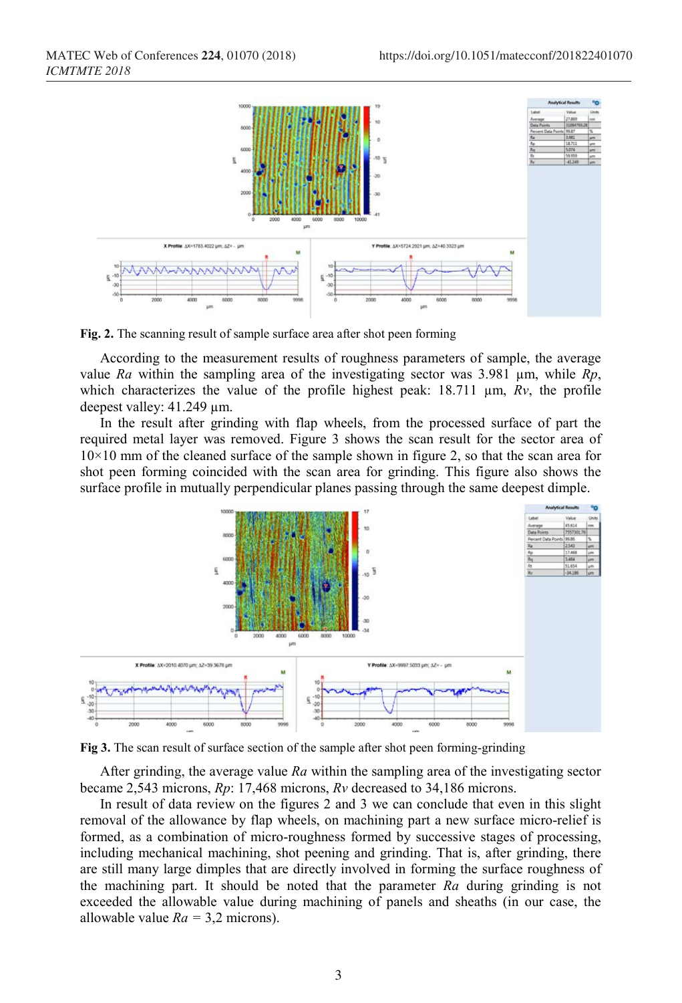

**Fig. 2.** The scanning result of sample surface area after shot peen forming

According to the measurement results of roughness parameters of sample, the average value *Ra* within the sampling area of the investigating sector was 3.981 µm, while *Rp*, which characterizes the value of the profile highest peak: 18.711 µm, *Rv*, the profile deepest valley: 41.249 µm.

In the result after grinding with flap wheels, from the processed surface of part the required metal layer was removed. Figure 3 shows the scan result for the sector area of  $10\times10$  mm of the cleaned surface of the sample shown in figure 2, so that the scan area for shot peen forming coincided with the scan area for grinding. This figure also shows the surface profile in mutually perpendicular planes passing through the same deepest dimple.



**Fig 3.** The scan result of surface section of the sample after shot peen forming-grinding

After grinding, the average value *Ra* within the sampling area of the investigating sector became 2,543 microns, *Rp*: 17,468 microns, *Rv* decreased to 34,186 microns.

In result of data review on the figures 2 and 3 we can conclude that even in this slight removal of the allowance by flap wheels, on machining part a new surface micro-relief is formed, as a combination of micro-roughness formed by successive stages of processing, including mechanical machining, shot peening and grinding. That is, after grinding, there are still many large dimples that are directly involved in forming the surface roughness of the machining part. It should be noted that the parameter *Ra* during grinding is not exceeded the allowable value during machining of panels and sheaths (in our case, the allowable value  $Ra = 3.2$  microns).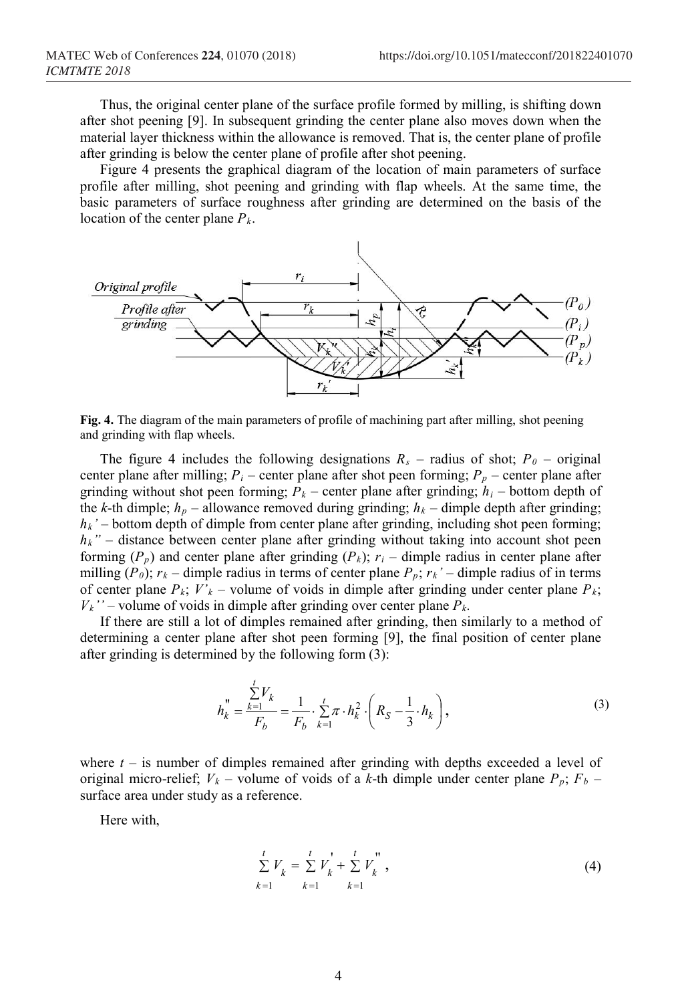Thus, the original center plane of the surface profile formed by milling, is shifting down after shot peening [9]. In subsequent grinding the center plane also moves down when the material layer thickness within the allowance is removed. That is, the center plane of profile after grinding is below the center plane of profile after shot peening.

Figure 4 presents the graphical diagram of the location of main parameters of surface profile after milling, shot peening and grinding with flap wheels. At the same time, the basic parameters of surface roughness after grinding are determined on the basis of the location of the center plane  $P_k$ .



**Fig. 4.** The diagram of the main parameters of profile of machining part after milling, shot peening and grinding with flap wheels.

The figure 4 includes the following designations  $R_s$  – radius of shot;  $P_0$  – original center plane after milling;  $P_i$  – center plane after shot peen forming;  $P_p$  – center plane after grinding without shot peen forming;  $P_k$  – center plane after grinding;  $h_i$  – bottom depth of the *k*-th dimple;  $h_p$  – allowance removed during grinding;  $h_k$  – dimple depth after grinding;  $h_k$ ' – bottom depth of dimple from center plane after grinding, including shot peen forming;  $h_k$ " – distance between center plane after grinding without taking into account shot peen forming  $(P_p)$  and center plane after grinding  $(P_k)$ ;  $r_i$  – dimple radius in center plane after milling  $(P_0)$ ;  $r_k$  – dimple radius in terms of center plane  $P_p$ ;  $r_k$ ' – dimple radius of in terms of center plane  $P_k$ ;  $V'_{k}$  – volume of voids in dimple after grinding under center plane  $P_k$ ;  $V_k$ <sup>"</sup> – volume of voids in dimple after grinding over center plane  $P_k$ .

If there are still a lot of dimples remained after grinding, then similarly to a method of determining a center plane after shot peen forming [9], the final position of center plane after grinding is determined by the following form (3):

$$
h_k'' = \frac{\sum_{k=1}^{t} V_k}{F_b} = \frac{1}{F_b} \cdot \sum_{k=1}^{t} \pi \cdot h_k^2 \cdot \left(R_S - \frac{1}{3} \cdot h_k\right),\tag{3}
$$

where  $t -$  is number of dimples remained after grinding with depths exceeded a level of original micro-relief;  $V_k$  – volume of voids of a k-th dimple under center plane  $P_p$ ;  $F_b$  – surface area under study as a reference.

Here with,

$$
\sum_{k=1}^{t} V_{k} = \sum_{k=1}^{t} V_{k}^{'} + \sum_{k=1}^{t} V_{k}^{''}
$$
\n(4)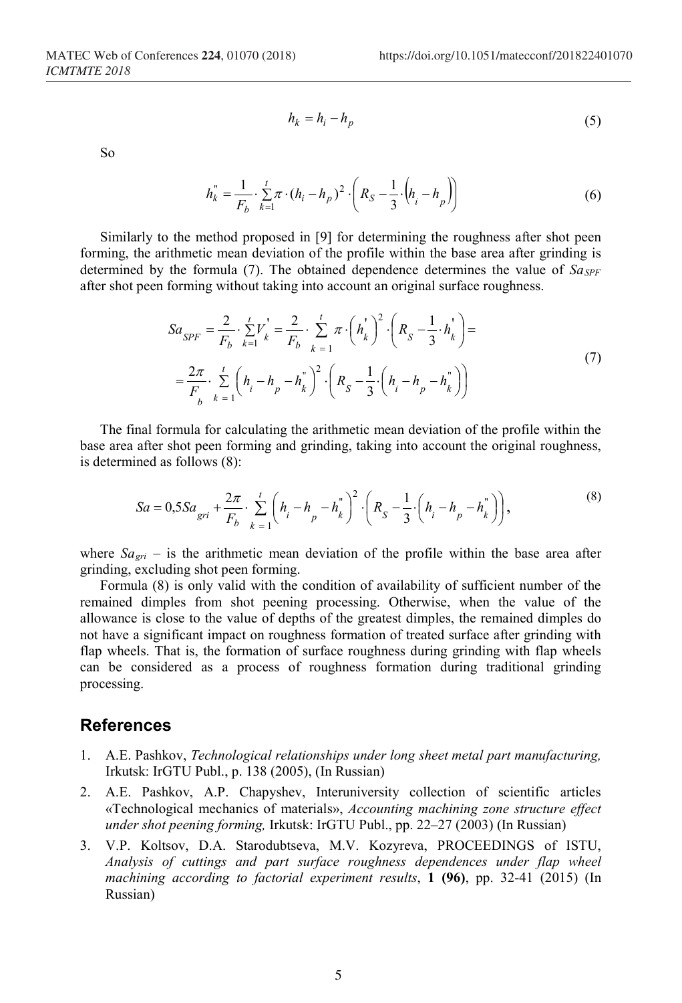So

$$
h_k = h_i - h_p \tag{5}
$$

$$
h_k^{"} = \frac{1}{F_b} \cdot \sum_{k=1}^{t} \pi \cdot (h_i - h_p)^2 \cdot \left(R_S - \frac{1}{3} \cdot (h_i - h_p)\right)
$$
(6)

Similarly to the method proposed in [9] for determining the roughness after shot peen forming, the arithmetic mean deviation of the profile within the base area after grinding is determined by the formula (7). The obtained dependence determines the value of  $S_{\text{dSPF}}$ after shot peen forming without taking into account an original surface roughness.

$$
Sa_{SPF} = \frac{2}{F_b} \cdot \sum_{k=1}^{t} V_k = \frac{2}{F_b} \cdot \sum_{k=1}^{t} \pi \cdot \left(h_k\right)^2 \cdot \left(R_S - \frac{1}{3} \cdot h_k\right) =
$$
  

$$
= \frac{2\pi}{F_b} \cdot \sum_{k=1}^{t} \left(h_i - h_p - h_k\right)^2 \cdot \left(R_S - \frac{1}{3} \cdot \left(h_i - h_p - h_k\right)\right)
$$
(7)

The final formula for calculating the arithmetic mean deviation of the profile within the base area after shot peen forming and grinding, taking into account the original roughness, is determined as follows (8):

$$
Sa = 0,5Sa_{gri} + \frac{2\pi}{F_b} \cdot \sum_{k=1}^{t} \left( h_i - h_p - h_k^{\dagger} \right)^2 \cdot \left( R_S - \frac{1}{3} \cdot \left( h_i - h_p - h_k^{\dagger} \right) \right),
$$
\n(8)

where  $Sa_{gri}$  – is the arithmetic mean deviation of the profile within the base area after grinding, excluding shot peen forming.

Formula (8) is only valid with the condition of availability of sufficient number of the remained dimples from shot peening processing. Otherwise, when the value of the allowance is close to the value of depths of the greatest dimples, the remained dimples do not have a significant impact on roughness formation of treated surface after grinding with flap wheels. That is, the formation of surface roughness during grinding with flap wheels can be considered as a process of roughness formation during traditional grinding processing.

## **References**

- 1. A.E. Pashkov, *Technological relationships under long sheet metal part manufacturing,* Irkutsk: IrGTU Publ., р. 138 (2005), (In Russian)
- 2. A.E. Pashkov, A.P. Chapyshev, Interuniversity collection of scientific articles «Technological mechanics of materials», *Accounting machining zone structure effect under shot peening forming,* Irkutsk: IrGTU Publ., рр. 22–27 (2003) (In Russian)
- 3. V.P. Koltsov, D.A. Starodubtseva, M.V. Kozyreva, PROCEEDINGS of ISTU, *Analysis of cuttings and part surface roughness dependences under flap wheel machining according to factorial experiment results*, **1 (96)**, pp. 32-41 (2015) (In Russian)